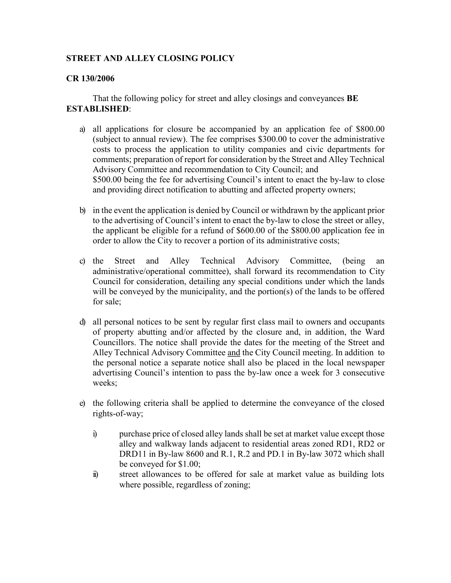## **STREET AND ALLEY CLOSING POLICY**

## **CR 130/2006**

That the following policy for street and alley closings and conveyances **BE ESTABLISHED**:

- a) all applications for closure be accompanied by an application fee of \$800.00 (subject to annual review). The fee comprises \$300.00 to cover the administrative costs to process the application to utility companies and civic departments for comments; preparation of report for consideration by the Street and Alley Technical Advisory Committee and recommendation to City Council; and \$500.00 being the fee for advertising Council's intent to enact the by-law to close and providing direct notification to abutting and affected property owners;
- b) in the event the application is denied by Council or withdrawn by the applicant prior to the advertising of Council's intent to enact the by-law to close the street or alley, the applicant be eligible for a refund of \$600.00 of the \$800.00 application fee in order to allow the City to recover a portion of its administrative costs;
- c) the Street and Alley Technical Advisory Committee, (being an administrative/operational committee), shall forward its recommendation to City Council for consideration, detailing any special conditions under which the lands will be conveyed by the municipality, and the portion(s) of the lands to be offered for sale;
- d) all personal notices to be sent by regular first class mail to owners and occupants of property abutting and/or affected by the closure and, in addition, the Ward Councillors. The notice shall provide the dates for the meeting of the Street and Alley Technical Advisory Committee and the City Council meeting. In addition to the personal notice a separate notice shall also be placed in the local newspaper advertising Council's intention to pass the by-law once a week for 3 consecutive weeks;
- e) the following criteria shall be applied to determine the conveyance of the closed rights-of-way;
	- i) purchase price of closed alley lands shall be set at market value except those alley and walkway lands adjacent to residential areas zoned RD1, RD2 or DRD11 in By-law 8600 and R.1, R.2 and PD.1 in By-law 3072 which shall be conveyed for \$1.00;
	- ii) street allowances to be offered for sale at market value as building lots where possible, regardless of zoning;